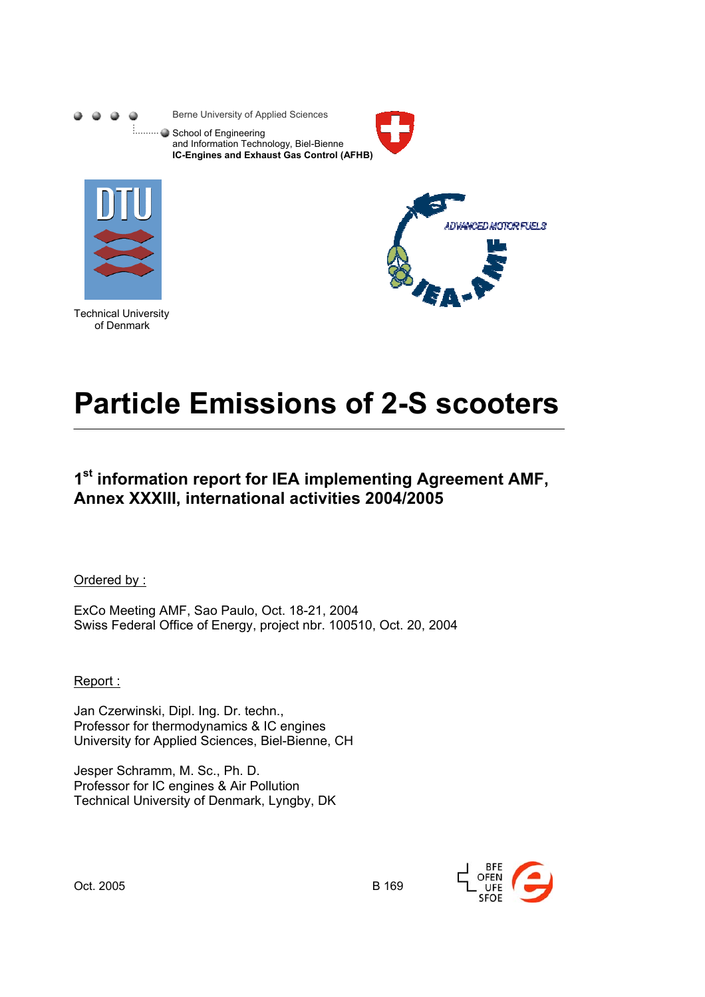

Technical University of Denmark

# **Particle Emissions of 2-S scooters**

# **1st information report for IEA implementing Agreement AMF, Annex XXXIII, international activities 2004/2005**

Ordered by :

ExCo Meeting AMF, Sao Paulo, Oct. 18-21, 2004 Swiss Federal Office of Energy, project nbr. 100510, Oct. 20, 2004

Report :

Jan Czerwinski, Dipl. Ing. Dr. techn., Professor for thermodynamics & IC engines University for Applied Sciences, Biel-Bienne, CH

Jesper Schramm, M. Sc., Ph. D. Professor for IC engines & Air Pollution Technical University of Denmark, Lyngby, DK



Oct. 2005 B 169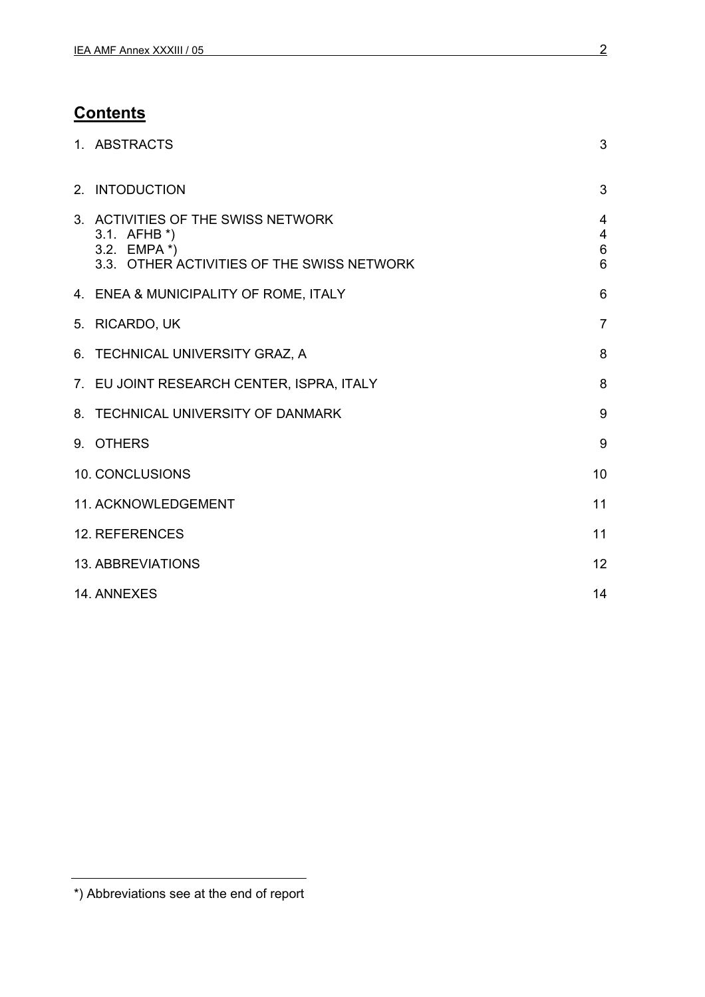# **Contents**

| 1. ABSTRACTS                                                                                                     | 3                |
|------------------------------------------------------------------------------------------------------------------|------------------|
| 2. INTODUCTION                                                                                                   | 3                |
| 3. ACTIVITIES OF THE SWISS NETWORK<br>3.1. AFHB *)<br>3.2. EMPA *)<br>3.3. OTHER ACTIVITIES OF THE SWISS NETWORK | 4<br>4<br>6<br>6 |
| 4. ENEA & MUNICIPALITY OF ROME, ITALY                                                                            | 6                |
| 5. RICARDO, UK                                                                                                   | $\overline{7}$   |
| 6. TECHNICAL UNIVERSITY GRAZ, A                                                                                  | 8                |
| 7. EU JOINT RESEARCH CENTER, ISPRA, ITALY                                                                        | 8                |
| 8. TECHNICAL UNIVERSITY OF DANMARK                                                                               | 9                |
| 9. OTHERS                                                                                                        | 9                |
| 10. CONCLUSIONS                                                                                                  | 10               |
| 11. ACKNOWLEDGEMENT                                                                                              | 11               |
| <b>12. REFERENCES</b>                                                                                            | 11               |
| <b>13. ABBREVIATIONS</b>                                                                                         | 12               |
| 14. ANNEXES                                                                                                      | 14               |

<sup>\*)</sup> Abbreviations see at the end of report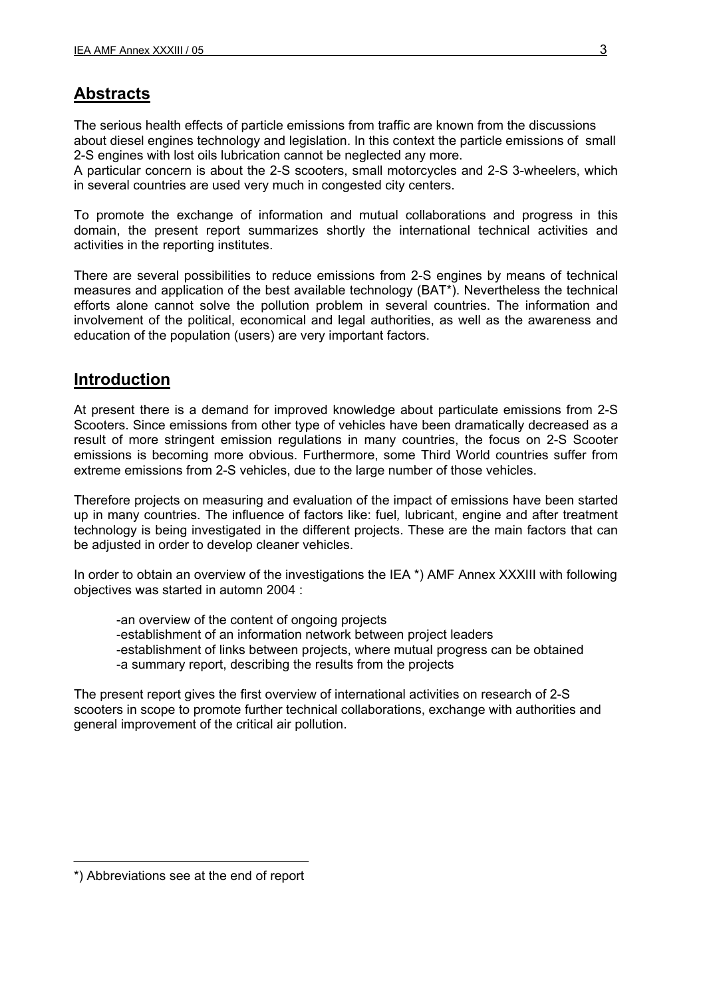# **Abstracts**

The serious health effects of particle emissions from traffic are known from the discussions about diesel engines technology and legislation. In this context the particle emissions of small 2-S engines with lost oils lubrication cannot be neglected any more.

A particular concern is about the 2-S scooters, small motorcycles and 2-S 3-wheelers, which in several countries are used very much in congested city centers.

To promote the exchange of information and mutual collaborations and progress in this domain, the present report summarizes shortly the international technical activities and activities in the reporting institutes.

There are several possibilities to reduce emissions from 2-S engines by means of technical measures and application of the best available technology (BAT\*). Nevertheless the technical efforts alone cannot solve the pollution problem in several countries. The information and involvement of the political, economical and legal authorities, as well as the awareness and education of the population (users) are very important factors.

# **Introduction**

At present there is a demand for improved knowledge about particulate emissions from 2-S Scooters. Since emissions from other type of vehicles have been dramatically decreased as a result of more stringent emission regulations in many countries, the focus on 2-S Scooter emissions is becoming more obvious. Furthermore, some Third World countries suffer from extreme emissions from 2-S vehicles, due to the large number of those vehicles.

Therefore projects on measuring and evaluation of the impact of emissions have been started up in many countries. The influence of factors like: fuel*,* lubricant, engine and after treatment technology is being investigated in the different projects. These are the main factors that can be adjusted in order to develop cleaner vehicles.

In order to obtain an overview of the investigations the IEA \*) AMF Annex XXXIII with following objectives was started in automn 2004 :

-an overview of the content of ongoing projects -establishment of an information network between project leaders -establishment of links between projects, where mutual progress can be obtained -a summary report, describing the results from the projects

The present report gives the first overview of international activities on research of 2-S scooters in scope to promote further technical collaborations, exchange with authorities and general improvement of the critical air pollution.

<sup>\*)</sup> Abbreviations see at the end of report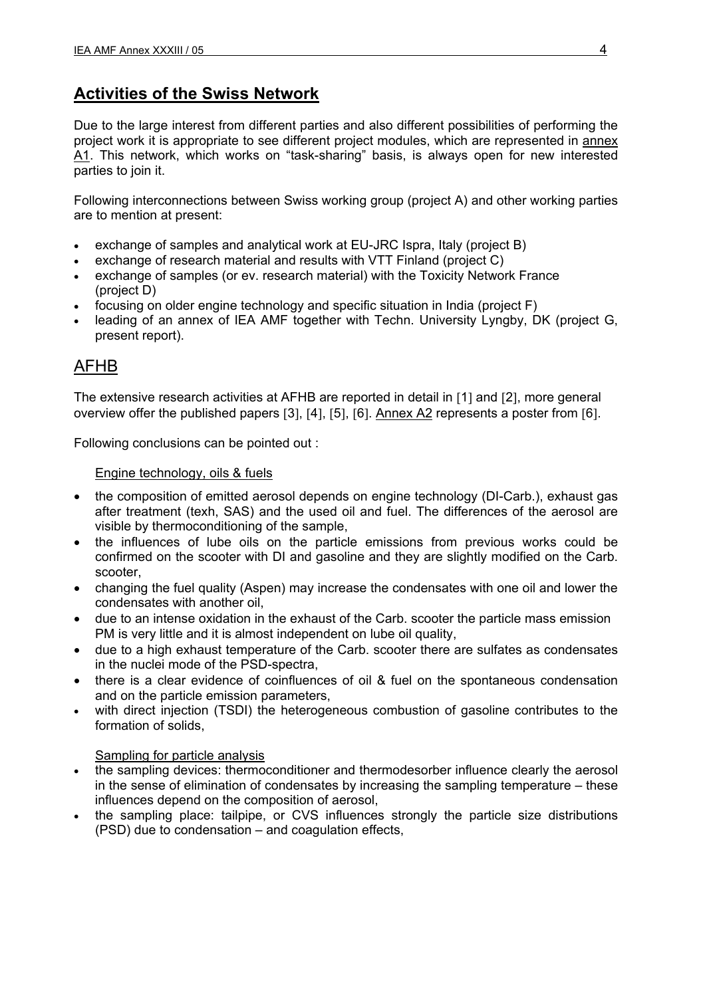# **Activities of the Swiss Network**

Due to the large interest from different parties and also different possibilities of performing the project work it is appropriate to see different project modules, which are represented in annex A1. This network, which works on "task-sharing" basis, is always open for new interested parties to join it.

Following interconnections between Swiss working group (project A) and other working parties are to mention at present:

- exchange of samples and analytical work at EU-JRC Ispra, Italy (project B)
- exchange of research material and results with VTT Finland (project C)
- exchange of samples (or ev. research material) with the Toxicity Network France (project D)
- focusing on older engine technology and specific situation in India (project F)
- leading of an annex of IEA AMF together with Techn. University Lyngby, DK (project G, present report).

## AFHB

The extensive research activities at AFHB are reported in detail in [1] and [2], more general overview offer the published papers [3], [4], [5], [6]. Annex A2 represents a poster from [6].

Following conclusions can be pointed out :

#### Engine technology, oils & fuels

- the composition of emitted aerosol depends on engine technology (DI-Carb.), exhaust gas after treatment (texh, SAS) and the used oil and fuel. The differences of the aerosol are visible by thermoconditioning of the sample,
- the influences of lube oils on the particle emissions from previous works could be confirmed on the scooter with DI and gasoline and they are slightly modified on the Carb. scooter,
- changing the fuel quality (Aspen) may increase the condensates with one oil and lower the condensates with another oil,
- due to an intense oxidation in the exhaust of the Carb. scooter the particle mass emission PM is very little and it is almost independent on lube oil quality,
- due to a high exhaust temperature of the Carb. scooter there are sulfates as condensates in the nuclei mode of the PSD-spectra,
- there is a clear evidence of coinfluences of oil & fuel on the spontaneous condensation and on the particle emission parameters,
- with direct injection (TSDI) the heterogeneous combustion of gasoline contributes to the formation of solids, •

#### Sampling for particle analysis

- the sampling devices: thermoconditioner and thermodesorber influence clearly the aerosol in the sense of elimination of condensates by increasing the sampling temperature – these influences depend on the composition of aerosol, •
- the sampling place: tailpipe, or CVS influences strongly the particle size distributions (PSD) due to condensation – and coagulation effects,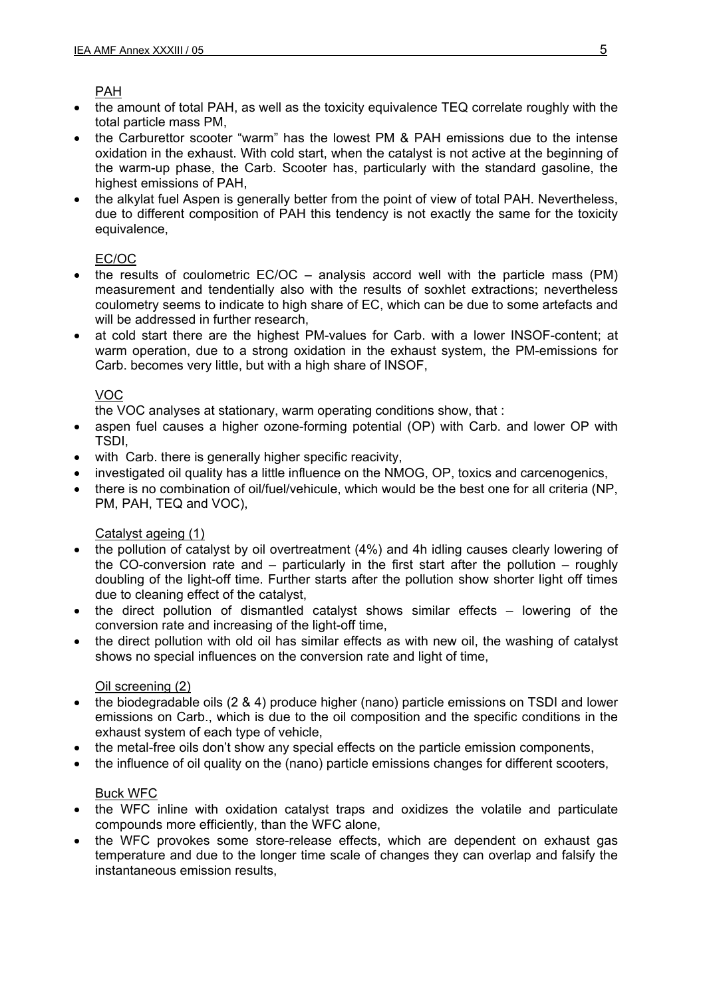PAH

- the amount of total PAH, as well as the toxicity equivalence TEQ correlate roughly with the total particle mass PM,
- the Carburettor scooter "warm" has the lowest PM & PAH emissions due to the intense oxidation in the exhaust. With cold start, when the catalyst is not active at the beginning of the warm-up phase, the Carb. Scooter has, particularly with the standard gasoline, the highest emissions of PAH,
- the alkylat fuel Aspen is generally better from the point of view of total PAH. Nevertheless, due to different composition of PAH this tendency is not exactly the same for the toxicity equivalence,

#### EC/OC

- the results of coulometric  $EC/OC -$  analysis accord well with the particle mass (PM) measurement and tendentially also with the results of soxhlet extractions; nevertheless coulometry seems to indicate to high share of EC, which can be due to some artefacts and will be addressed in further research.
- at cold start there are the highest PM-values for Carb. with a lower INSOF-content; at warm operation, due to a strong oxidation in the exhaust system, the PM-emissions for Carb. becomes very little, but with a high share of INSOF,

### VOC

the VOC analyses at stationary, warm operating conditions show, that :

- aspen fuel causes a higher ozone-forming potential (OP) with Carb. and lower OP with TSDI,
- with Carb. there is generally higher specific reacivity,
- investigated oil quality has a little influence on the NMOG, OP, toxics and carcenogenics,
- there is no combination of oil/fuel/vehicule, which would be the best one for all criteria (NP, PM, PAH, TEQ and VOC),

#### Catalyst ageing (1)

- the pollution of catalyst by oil overtreatment (4%) and 4h idling causes clearly lowering of the CO-conversion rate and – particularly in the first start after the pollution – roughly doubling of the light-off time. Further starts after the pollution show shorter light off times due to cleaning effect of the catalyst,
- the direct pollution of dismantled catalyst shows similar effects  $-$  lowering of the conversion rate and increasing of the light-off time,
- the direct pollution with old oil has similar effects as with new oil, the washing of catalyst shows no special influences on the conversion rate and light of time,

#### Oil screening (2)

- the biodegradable oils (2 & 4) produce higher (nano) particle emissions on TSDI and lower emissions on Carb., which is due to the oil composition and the specific conditions in the exhaust system of each type of vehicle,
- the metal-free oils don't show any special effects on the particle emission components,
- the influence of oil quality on the (nano) particle emissions changes for different scooters,

#### Buck WFC

- the WFC inline with oxidation catalyst traps and oxidizes the volatile and particulate compounds more efficiently, than the WFC alone,
- the WFC provokes some store-release effects, which are dependent on exhaust gas temperature and due to the longer time scale of changes they can overlap and falsify the instantaneous emission results,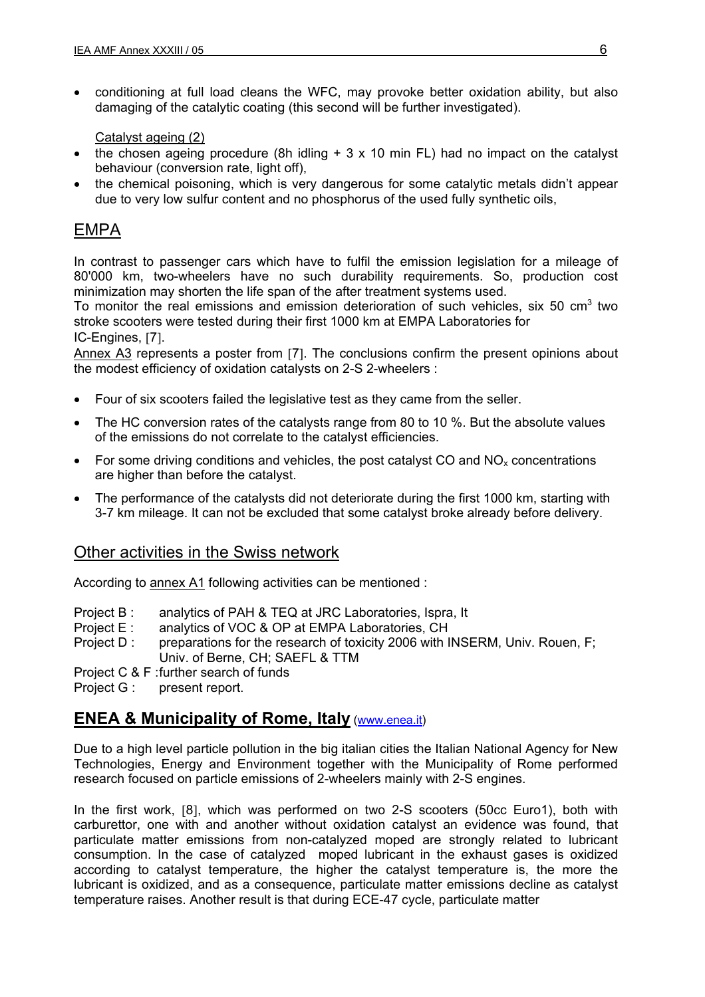• conditioning at full load cleans the WFC, may provoke better oxidation ability, but also damaging of the catalytic coating (this second will be further investigated).

#### Catalyst ageing (2)

- the chosen ageing procedure (8h idling  $+ 3 \times 10$  min FL) had no impact on the catalyst behaviour (conversion rate, light off),
- the chemical poisoning, which is very dangerous for some catalytic metals didn't appear due to very low sulfur content and no phosphorus of the used fully synthetic oils,

## EMPA

In contrast to passenger cars which have to fulfil the emission legislation for a mileage of 80'000 km, two-wheelers have no such durability requirements. So, production cost minimization may shorten the life span of the after treatment systems used.

To monitor the real emissions and emission deterioration of such vehicles, six 50  $\text{cm}^3$  two stroke scooters were tested during their first 1000 km at EMPA Laboratories for IC-Engines, [7].

Annex A3 represents a poster from [7]. The conclusions confirm the present opinions about the modest efficiency of oxidation catalysts on 2-S 2-wheelers :

- Four of six scooters failed the legislative test as they came from the seller.
- The HC conversion rates of the catalysts range from 80 to 10 %. But the absolute values of the emissions do not correlate to the catalyst efficiencies.
- For some driving conditions and vehicles, the post catalyst CO and  $NO<sub>x</sub>$  concentrations are higher than before the catalyst.
- The performance of the catalysts did not deteriorate during the first 1000 km, starting with 3-7 km mileage. It can not be excluded that some catalyst broke already before delivery.

## Other activities in the Swiss network

According to annex A1 following activities can be mentioned :

- Project B : analytics of PAH & TEQ at JRC Laboratories, Ispra, It
- Project E : analytics of VOC & OP at EMPA Laboratories, CH
- Project D : preparations for the research of toxicity 2006 with INSERM, Univ. Rouen, F; Univ. of Berne, CH; SAEFL & TTM

Project C & F : further search of funds

Project G : present report.

## **ENEA & Municipality of Rome, Italy ([www.enea.it](http://www.enea.it/))**

Due to a high level particle pollution in the big italian cities the Italian National Agency for New Technologies, Energy and Environment together with the Municipality of Rome performed research focused on particle emissions of 2-wheelers mainly with 2-S engines.

In the first work, [8], which was performed on two 2-S scooters (50cc Euro1), both with carburettor, one with and another without oxidation catalyst an evidence was found, that particulate matter emissions from non-catalyzed moped are strongly related to lubricant consumption. In the case of catalyzed moped lubricant in the exhaust gases is oxidized according to catalyst temperature, the higher the catalyst temperature is, the more the lubricant is oxidized, and as a consequence, particulate matter emissions decline as catalyst temperature raises. Another result is that during ECE-47 cycle, particulate matter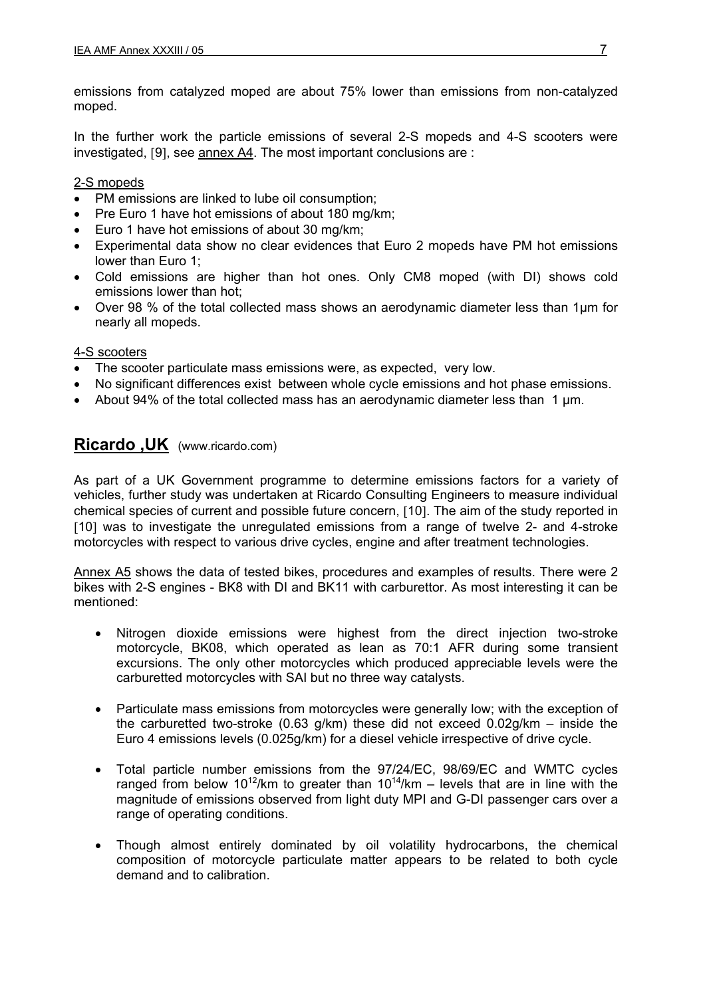emissions from catalyzed moped are about 75% lower than emissions from non-catalyzed moped.

In the further work the particle emissions of several 2-S mopeds and 4-S scooters were investigated, [9], see annex A4. The most important conclusions are :

#### 2-S mopeds

- PM emissions are linked to lube oil consumption;
- Pre Euro 1 have hot emissions of about 180 mg/km;
- Euro 1 have hot emissions of about 30 mg/km;
- Experimental data show no clear evidences that Euro 2 mopeds have PM hot emissions lower than Euro 1;
- Cold emissions are higher than hot ones. Only CM8 moped (with DI) shows cold emissions lower than hot;
- Over 98 % of the total collected mass shows an aerodynamic diameter less than 1µm for nearly all mopeds.

#### 4-S scooters

- The scooter particulate mass emissions were, as expected, very low.
- No significant differences exist between whole cycle emissions and hot phase emissions.
- About 94% of the total collected mass has an aerodynamic diameter less than 1 µm.

## **Ricardo ,UK** (www.ricardo.com)

As part of a UK Government programme to determine emissions factors for a variety of vehicles, further study was undertaken at Ricardo Consulting Engineers to measure individual chemical species of current and possible future concern, [10]. The aim of the study reported in [10] was to investigate the unregulated emissions from a range of twelve 2- and 4-stroke motorcycles with respect to various drive cycles, engine and after treatment technologies.

Annex A5 shows the data of tested bikes, procedures and examples of results. There were 2 bikes with 2-S engines - BK8 with DI and BK11 with carburettor. As most interesting it can be mentioned:

- Nitrogen dioxide emissions were highest from the direct injection two-stroke motorcycle, BK08, which operated as lean as 70:1 AFR during some transient excursions. The only other motorcycles which produced appreciable levels were the carburetted motorcycles with SAI but no three way catalysts.
- Particulate mass emissions from motorcycles were generally low; with the exception of the carburetted two-stroke (0.63 g/km) these did not exceed 0.02g/km – inside the Euro 4 emissions levels (0.025g/km) for a diesel vehicle irrespective of drive cycle.
- Total particle number emissions from the 97/24/EC, 98/69/EC and WMTC cycles ranged from below 10<sup>12</sup>/km to greater than  $10^{14}$ /km – levels that are in line with the magnitude of emissions observed from light duty MPI and G-DI passenger cars over a range of operating conditions.
- Though almost entirely dominated by oil volatility hydrocarbons, the chemical composition of motorcycle particulate matter appears to be related to both cycle demand and to calibration.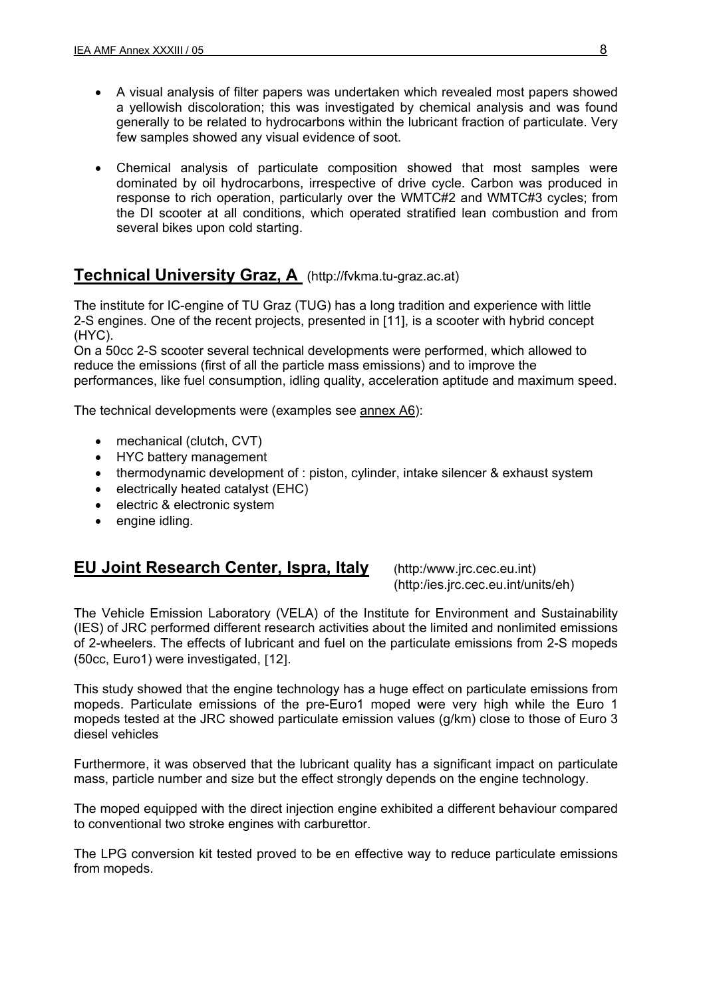- A visual analysis of filter papers was undertaken which revealed most papers showed a yellowish discoloration; this was investigated by chemical analysis and was found generally to be related to hydrocarbons within the lubricant fraction of particulate. Very few samples showed any visual evidence of soot.
- Chemical analysis of particulate composition showed that most samples were dominated by oil hydrocarbons, irrespective of drive cycle. Carbon was produced in response to rich operation, particularly over the WMTC#2 and WMTC#3 cycles; from the DI scooter at all conditions, which operated stratified lean combustion and from several bikes upon cold starting.

# **Technical University Graz, A** (http://fvkma.tu-graz.ac.at)

The institute for IC-engine of TU Graz (TUG) has a long tradition and experience with little 2-S engines. One of the recent projects, presented in [11], is a scooter with hybrid concept (HYC).

On a 50cc 2-S scooter several technical developments were performed, which allowed to reduce the emissions (first of all the particle mass emissions) and to improve the performances, like fuel consumption, idling quality, acceleration aptitude and maximum speed.

The technical developments were (examples see annex A6):

- mechanical (clutch, CVT)
- HYC battery management
- thermodynamic development of : piston, cylinder, intake silencer & exhaust system
- electrically heated catalyst (EHC)
- electric & electronic system
- engine idling.

# **EU Joint Research Center, Ispra, Italy** (http:/www.jrc.cec.eu.int)

(http:/ies.jrc.cec.eu.int/units/eh)

The Vehicle Emission Laboratory (VELA) of the Institute for Environment and Sustainability (IES) of JRC performed different research activities about the limited and nonlimited emissions of 2-wheelers. The effects of lubricant and fuel on the particulate emissions from 2-S mopeds (50cc, Euro1) were investigated, [12].

This study showed that the engine technology has a huge effect on particulate emissions from mopeds. Particulate emissions of the pre-Euro1 moped were very high while the Euro 1 mopeds tested at the JRC showed particulate emission values (g/km) close to those of Euro 3 diesel vehicles

Furthermore, it was observed that the lubricant quality has a significant impact on particulate mass, particle number and size but the effect strongly depends on the engine technology.

The moped equipped with the direct injection engine exhibited a different behaviour compared to conventional two stroke engines with carburettor.

The LPG conversion kit tested proved to be en effective way to reduce particulate emissions from mopeds.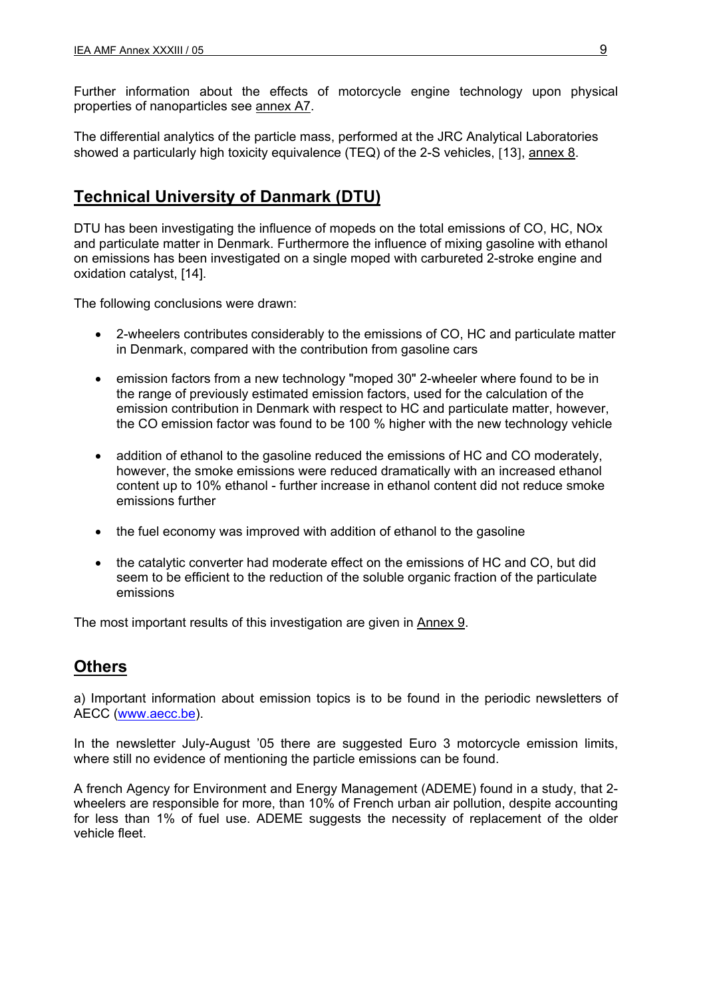Further information about the effects of motorcycle engine technology upon physical properties of nanoparticles see annex A7.

The differential analytics of the particle mass, performed at the JRC Analytical Laboratories showed a particularly high toxicity equivalence (TEQ) of the 2-S vehicles, [13], annex 8.

# **Technical University of Danmark (DTU)**

DTU has been investigating the influence of mopeds on the total emissions of CO, HC, NOx and particulate matter in Denmark. Furthermore the influence of mixing gasoline with ethanol on emissions has been investigated on a single moped with carbureted 2-stroke engine and oxidation catalyst, [14].

The following conclusions were drawn:

- 2-wheelers contributes considerably to the emissions of CO, HC and particulate matter in Denmark, compared with the contribution from gasoline cars
- emission factors from a new technology "moped 30" 2-wheeler where found to be in the range of previously estimated emission factors, used for the calculation of the emission contribution in Denmark with respect to HC and particulate matter, however, the CO emission factor was found to be 100 % higher with the new technology vehicle
- addition of ethanol to the gasoline reduced the emissions of HC and CO moderately, however, the smoke emissions were reduced dramatically with an increased ethanol content up to 10% ethanol - further increase in ethanol content did not reduce smoke emissions further
- the fuel economy was improved with addition of ethanol to the gasoline
- the catalytic converter had moderate effect on the emissions of HC and CO, but did seem to be efficient to the reduction of the soluble organic fraction of the particulate emissions

The most important results of this investigation are given in Annex 9.

## **Others**

a) Important information about emission topics is to be found in the periodic newsletters of AECC ([www.aecc.be](http://www.aecc.be/)).

In the newsletter July-August '05 there are suggested Euro 3 motorcycle emission limits, where still no evidence of mentioning the particle emissions can be found.

A french Agency for Environment and Energy Management (ADEME) found in a study, that 2 wheelers are responsible for more, than 10% of French urban air pollution, despite accounting for less than 1% of fuel use. ADEME suggests the necessity of replacement of the older vehicle fleet.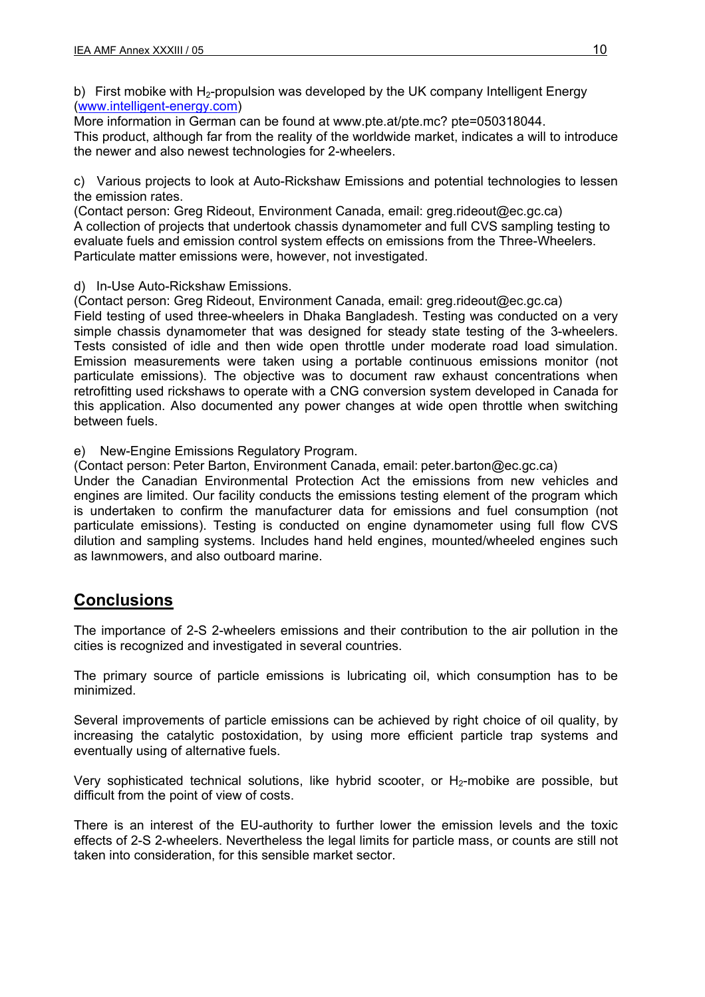b) First mobike with  $H_2$ -propulsion was developed by the UK company Intelligent Energy ([www.intelligent-energy.com](http://www.intelligent-energy.com/))

More information in German can be found at www.pte.at/pte.mc? pte=050318044. This product, although far from the reality of the worldwide market, indicates a will to introduce the newer and also newest technologies for 2-wheelers.

c) **:**Various projects to look at Auto-Rickshaw Emissions and potential technologies to lessen the emission rates.

(Contact person: Greg Rideout, Environment Canada, email: greg.rideout@ec.gc.ca) A collection of projects that undertook chassis dynamometer and full CVS sampling testing to evaluate fuels and emission control system effects on emissions from the Three-Wheelers. Particulate matter emissions were, however, not investigated.

d) In-Use Auto-Rickshaw Emissions.

(Contact person: Greg Rideout, Environment Canada, email: greg.rideout@ec.gc.ca) Field testing of used three-wheelers in Dhaka Bangladesh. Testing was conducted on a very simple chassis dynamometer that was designed for steady state testing of the 3-wheelers. Tests consisted of idle and then wide open throttle under moderate road load simulation. Emission measurements were taken using a portable continuous emissions monitor (not particulate emissions). The objective was to document raw exhaust concentrations when retrofitting used rickshaws to operate with a CNG conversion system developed in Canada for this application. Also documented any power changes at wide open throttle when switching between fuels.

e) New-Engine Emissions Regulatory Program.

(Contact person: Peter Barton, Environment Canada, email: peter.barton@ec.gc.ca)

Under the Canadian Environmental Protection Act the emissions from new vehicles and engines are limited. Our facility conducts the emissions testing element of the program which is undertaken to confirm the manufacturer data for emissions and fuel consumption (not particulate emissions). Testing is conducted on engine dynamometer using full flow CVS dilution and sampling systems. Includes hand held engines, mounted/wheeled engines such as lawnmowers, and also outboard marine.

# **Conclusions**

The importance of 2-S 2-wheelers emissions and their contribution to the air pollution in the cities is recognized and investigated in several countries.

The primary source of particle emissions is lubricating oil, which consumption has to be minimized.

Several improvements of particle emissions can be achieved by right choice of oil quality, by increasing the catalytic postoxidation, by using more efficient particle trap systems and eventually using of alternative fuels.

Very sophisticated technical solutions, like hybrid scooter, or  $H_2$ -mobike are possible, but difficult from the point of view of costs.

There is an interest of the EU-authority to further lower the emission levels and the toxic effects of 2-S 2-wheelers. Nevertheless the legal limits for particle mass, or counts are still not taken into consideration, for this sensible market sector.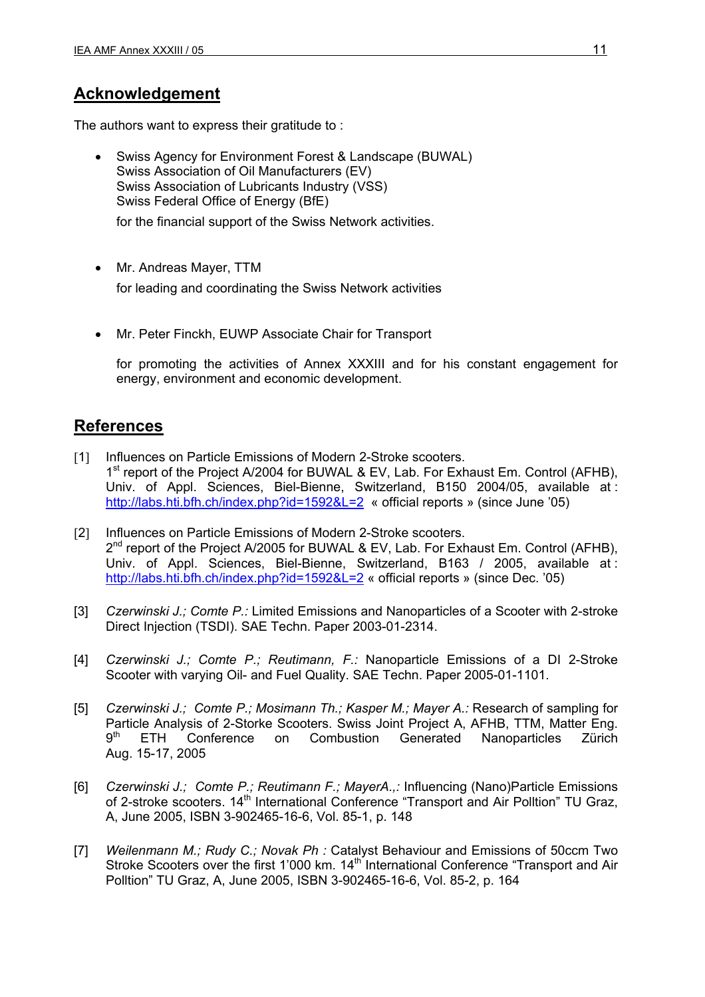# **Acknowledgement**

The authors want to express their gratitude to :

• Swiss Agency for Environment Forest & Landscape (BUWAL) Swiss Association of Oil Manufacturers (EV) Swiss Association of Lubricants Industry (VSS) Swiss Federal Office of Energy (BfE)

for the financial support of the Swiss Network activities.

- Mr. Andreas Mayer, TTM for leading and coordinating the Swiss Network activities
- Mr. Peter Finckh, EUWP Associate Chair for Transport

for promoting the activities of Annex XXXIII and for his constant engagement for energy, environment and economic development.

# **References**

- [1] Influences on Particle Emissions of Modern 2-Stroke scooters. 1<sup>st</sup> report of the Project A/2004 for BUWAL & EV, Lab. For Exhaust Em. Control (AFHB), Univ. of Appl. Sciences, Biel-Bienne, Switzerland, B150 2004/05, available at : <http://labs.hti.bfh.ch/index.php?id=1592&L=2> « official reports » (since June '05)
- [2] Influences on Particle Emissions of Modern 2-Stroke scooters.  $2^{nd}$  report of the Project A/2005 for BUWAL & EV, Lab. For Exhaust Em. Control (AFHB), Univ. of Appl. Sciences, Biel-Bienne, Switzerland, B163 / 2005, available at : <http://labs.hti.bfh.ch/index.php?id=1592&L=2> « official reports » (since Dec. '05)
- [3] *Czerwinski J.; Comte P.:* Limited Emissions and Nanoparticles of a Scooter with 2-stroke Direct Injection (TSDI). SAE Techn. Paper 2003-01-2314.
- [4] *Czerwinski J.; Comte P.; Reutimann, F.:* Nanoparticle Emissions of a DI 2-Stroke Scooter with varying Oil- and Fuel Quality. SAE Techn. Paper 2005-01-1101.
- [5] *Czerwinski J.; Comte P.; Mosimann Th.; Kasper M.; Mayer A.:* Research of sampling for Particle Analysis of 2-Storke Scooters. Swiss Joint Project A, AFHB, TTM, Matter Eng.<br>9<sup>th</sup> FTH Conference on Combustion Generated Nanonarticles Zürich 9th ETH Conference on Combustion Generated Nanoparticles Zürich Aug. 15-17, 2005
- [6] *Czerwinski J.; Comte P.; Reutimann F.; MayerA.,:* Influencing (Nano)Particle Emissions of 2-stroke scooters. 14<sup>th</sup> International Conference "Transport and Air Polltion" TU Graz, A, June 2005, ISBN 3-902465-16-6, Vol. 85-1, p. 148
- [7] *Weilenmann M.; Rudy C.; Novak Ph :* Catalyst Behaviour and Emissions of 50ccm Two Stroke Scooters over the first 1'000 km. 14<sup>th</sup> International Conference "Transport and Air Polltion" TU Graz, A, June 2005, ISBN 3-902465-16-6, Vol. 85-2, p. 164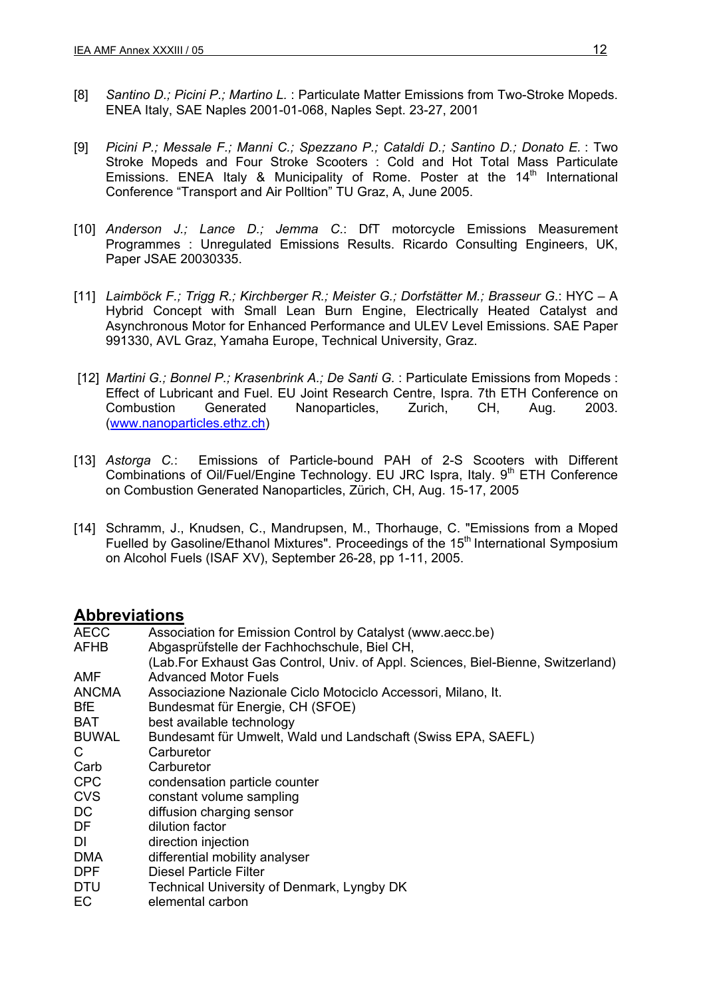- [8] *Santino D.; Picini P.; Martino L.* : Particulate Matter Emissions from Two-Stroke Mopeds. ENEA Italy, SAE Naples 2001-01-068, Naples Sept. 23-27, 2001
- [9] *Picini P.; Messale F.; Manni C.; Spezzano P.; Cataldi D.; Santino D.; Donato E.* : Two Stroke Mopeds and Four Stroke Scooters : Cold and Hot Total Mass Particulate Emissions. ENEA Italy & Municipality of Rome. Poster at the  $14<sup>th</sup>$  International Conference "Transport and Air Polltion" TU Graz, A, June 2005.
- [10] *Anderson J.; Lance D.; Jemma C*.: DfT motorcycle Emissions Measurement Programmes : Unregulated Emissions Results. Ricardo Consulting Engineers, UK, Paper JSAE 20030335.
- [11] *Laimböck F.; Trigg R.; Kirchberger R.; Meister G.; Dorfstätter M.; Brasseur G*.: HYC A Hybrid Concept with Small Lean Burn Engine, Electrically Heated Catalyst and Asynchronous Motor for Enhanced Performance and ULEV Level Emissions. SAE Paper 991330, AVL Graz, Yamaha Europe, Technical University, Graz.
- [12] *Martini G.; Bonnel P.; Krasenbrink A.; De Santi G.* : Particulate Emissions from Mopeds : Effect of Lubricant and Fuel. EU Joint Research Centre, Ispra. 7th ETH Conference on Combustion Generated Nanoparticles, Zurich, CH, Aug. 2003. ([www.nanoparticles.ethz.ch\)](http://www.nanoparticles.ethz.ch/)
- [13] *Astorga C.*: Emissions of Particle-bound PAH of 2-S Scooters with Different Combinations of Oil/Fuel/Engine Technology. EU JRC Ispra, Italy.  $9<sup>th</sup>$  ETH Conference on Combustion Generated Nanoparticles, Zürich, CH, Aug. 15-17, 2005
- [14] Schramm, J., Knudsen, C., Mandrupsen, M., Thorhauge, C. "Emissions from a Moped Fuelled by Gasoline/Ethanol Mixtures". Proceedings of the 15<sup>th</sup> International Symposium on Alcohol Fuels (ISAF XV), September 26-28, pp 1-11, 2005.

## **Abbreviations**

| <b>AECC</b>  | Association for Emission Control by Catalyst (www.aecc.be)                       |
|--------------|----------------------------------------------------------------------------------|
| <b>AFHB</b>  | Abgasprüfstelle der Fachhochschule, Biel CH,                                     |
|              | (Lab.For Exhaust Gas Control, Univ. of Appl. Sciences, Biel-Bienne, Switzerland) |
| AMF          | <b>Advanced Motor Fuels</b>                                                      |
| <b>ANCMA</b> | Associazione Nazionale Ciclo Motociclo Accessori, Milano, It.                    |
| <b>BfE</b>   | Bundesmat für Energie, CH (SFOE)                                                 |
| <b>BAT</b>   | best available technology                                                        |
| <b>BUWAL</b> | Bundesamt für Umwelt, Wald und Landschaft (Swiss EPA, SAEFL)                     |
| C            | Carburetor                                                                       |
| Carb         | Carburetor                                                                       |
| <b>CPC</b>   | condensation particle counter                                                    |
| <b>CVS</b>   | constant volume sampling                                                         |
| DC           | diffusion charging sensor                                                        |
| DF           | dilution factor                                                                  |
| DI.          | direction injection                                                              |
| <b>DMA</b>   | differential mobility analyser                                                   |
| <b>DPF</b>   | <b>Diesel Particle Filter</b>                                                    |
| <b>DTU</b>   | Technical University of Denmark, Lyngby DK                                       |
| EC           | elemental carbon                                                                 |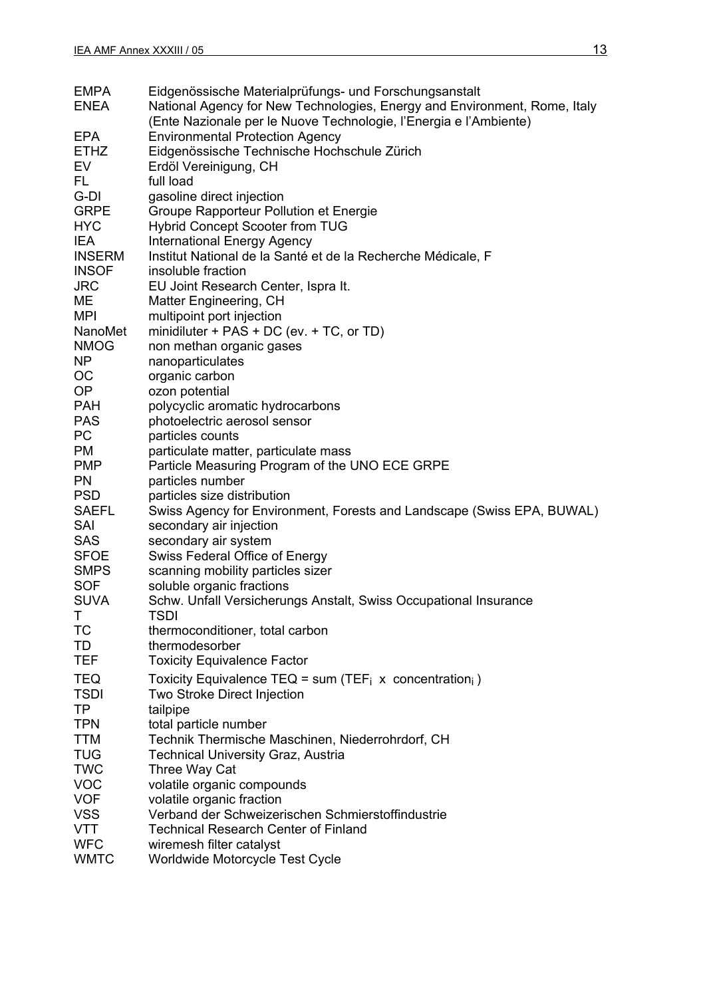| <b>EPA</b>    | <b>Environmental Protection Agency</b>                                          |
|---------------|---------------------------------------------------------------------------------|
| <b>ETHZ</b>   | Eidgenössische Technische Hochschule Zürich                                     |
| EV            | Erdöl Vereinigung, CH                                                           |
| FL.           | full load                                                                       |
| G-DI          | gasoline direct injection                                                       |
| <b>GRPE</b>   | Groupe Rapporteur Pollution et Energie                                          |
| <b>HYC</b>    | <b>Hybrid Concept Scooter from TUG</b>                                          |
| IEA           | <b>International Energy Agency</b>                                              |
| <b>INSERM</b> | Institut National de la Santé et de la Recherche Médicale, F                    |
| <b>INSOF</b>  | insoluble fraction                                                              |
| <b>JRC</b>    | EU Joint Research Center, Ispra It.                                             |
| МE            | Matter Engineering, CH                                                          |
| <b>MPI</b>    | multipoint port injection                                                       |
| NanoMet       | minidiluter + PAS + DC (ev. + TC, or TD)                                        |
| <b>NMOG</b>   | non methan organic gases                                                        |
| NP.           | nanoparticulates                                                                |
| <b>OC</b>     | organic carbon                                                                  |
| OP            | ozon potential                                                                  |
| <b>PAH</b>    | polycyclic aromatic hydrocarbons                                                |
| <b>PAS</b>    | photoelectric aerosol sensor                                                    |
| PC            | particles counts                                                                |
| <b>PM</b>     | particulate matter, particulate mass                                            |
| <b>PMP</b>    | Particle Measuring Program of the UNO ECE GRPE                                  |
| <b>PN</b>     | particles number                                                                |
| <b>PSD</b>    | particles size distribution                                                     |
| <b>SAEFL</b>  | Swiss Agency for Environment, Forests and Landscape (Swiss EPA, BUWAL)          |
| SAI           | secondary air injection                                                         |
| <b>SAS</b>    | secondary air system                                                            |
| <b>SFOE</b>   | Swiss Federal Office of Energy                                                  |
| <b>SMPS</b>   | scanning mobility particles sizer                                               |
| <b>SOF</b>    | soluble organic fractions                                                       |
| <b>SUVA</b>   | Schw. Unfall Versicherungs Anstalt, Swiss Occupational Insurance                |
| T.            | <b>TSDI</b>                                                                     |
| ТC            | thermoconditioner, total carbon                                                 |
| TD            | thermodesorber                                                                  |
| <b>TEF</b>    | <b>Toxicity Equivalence Factor</b>                                              |
| TEQ           | Toxicity Equivalence TEQ = sum (TEF <sub>i</sub> x concentration <sub>i</sub> ) |
| <b>TSDI</b>   | <b>Two Stroke Direct Injection</b>                                              |
| TP            | tailpipe                                                                        |
| <b>TPN</b>    | total particle number                                                           |
| <b>TTM</b>    | Technik Thermische Maschinen, Niederrohrdorf, CH                                |
| <b>TUG</b>    | <b>Technical University Graz, Austria</b>                                       |
| <b>TWC</b>    | Three Way Cat                                                                   |
| <b>VOC</b>    | volatile organic compounds                                                      |
| <b>VOF</b>    | volatile organic fraction                                                       |
| <b>VSS</b>    | Verband der Schweizerischen Schmierstoffindustrie                               |
| <b>VTT</b>    | <b>Technical Research Center of Finland</b>                                     |
| <b>WFC</b>    | wiremesh filter catalyst                                                        |
| <b>WMTC</b>   | Worldwide Motorcycle Test Cycle                                                 |